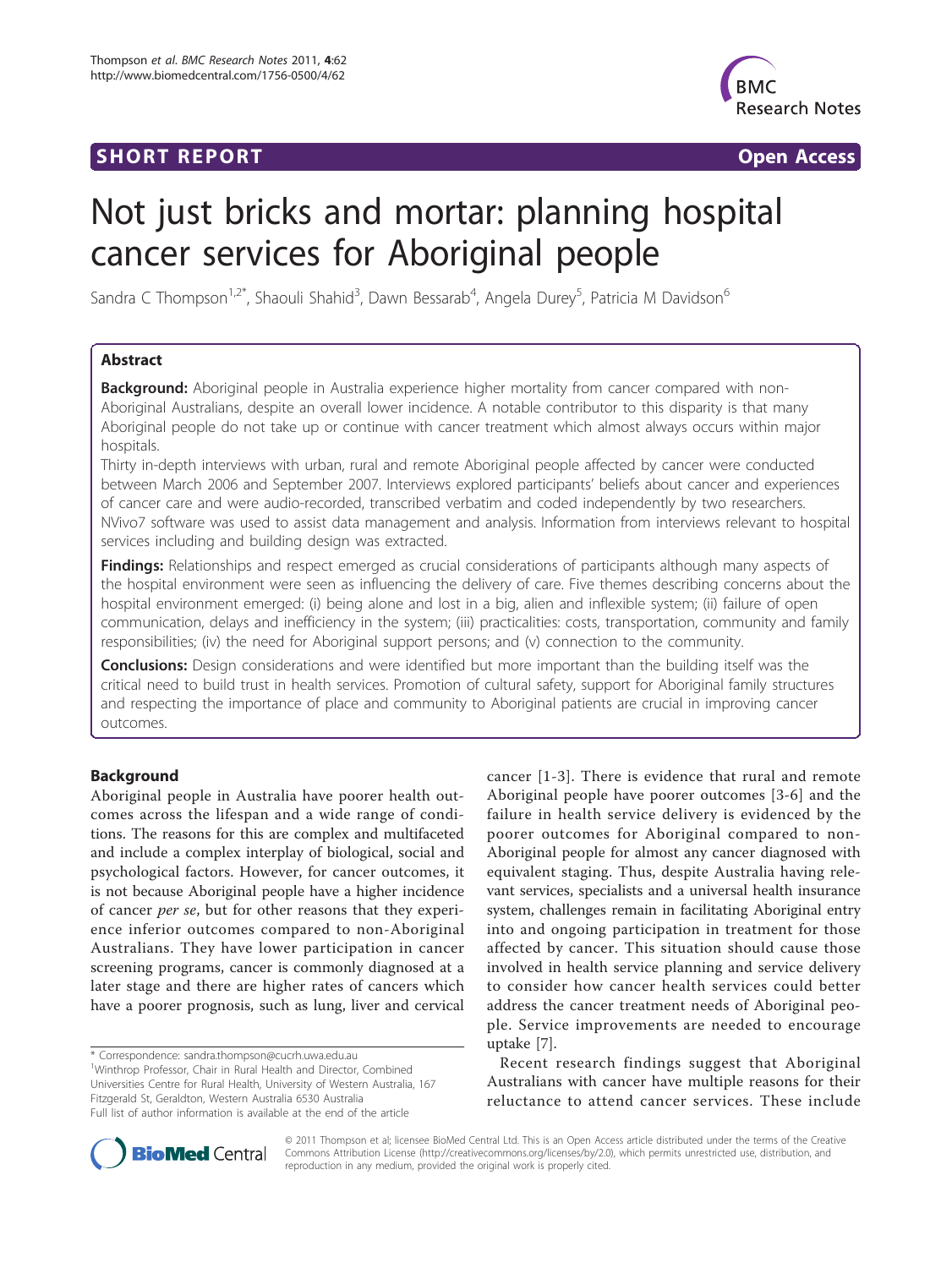## **SHORT REPORT CONSUMING THE OPEN ACCESS**



# Not just bricks and mortar: planning hospital cancer services for Aboriginal people

Sandra C Thompson<sup>1,2\*</sup>, Shaouli Shahid<sup>3</sup>, Dawn Bessarab<sup>4</sup>, Angela Durey<sup>5</sup>, Patricia M Davidson<sup>6</sup>

## Abstract

**Background:** Aboriginal people in Australia experience higher mortality from cancer compared with non-Aboriginal Australians, despite an overall lower incidence. A notable contributor to this disparity is that many Aboriginal people do not take up or continue with cancer treatment which almost always occurs within major hospitals.

Thirty in-depth interviews with urban, rural and remote Aboriginal people affected by cancer were conducted between March 2006 and September 2007. Interviews explored participants' beliefs about cancer and experiences of cancer care and were audio-recorded, transcribed verbatim and coded independently by two researchers. NVivo7 software was used to assist data management and analysis. Information from interviews relevant to hospital services including and building design was extracted.

Findings: Relationships and respect emerged as crucial considerations of participants although many aspects of the hospital environment were seen as influencing the delivery of care. Five themes describing concerns about the hospital environment emerged: (i) being alone and lost in a big, alien and inflexible system; (ii) failure of open communication, delays and inefficiency in the system; (iii) practicalities: costs, transportation, community and family responsibilities; (iv) the need for Aboriginal support persons; and (v) connection to the community.

**Conclusions:** Design considerations and were identified but more important than the building itself was the critical need to build trust in health services. Promotion of cultural safety, support for Aboriginal family structures and respecting the importance of place and community to Aboriginal patients are crucial in improving cancer outcomes.

## Background

Aboriginal people in Australia have poorer health outcomes across the lifespan and a wide range of conditions. The reasons for this are complex and multifaceted and include a complex interplay of biological, social and psychological factors. However, for cancer outcomes, it is not because Aboriginal people have a higher incidence of cancer per se, but for other reasons that they experience inferior outcomes compared to non-Aboriginal Australians. They have lower participation in cancer screening programs, cancer is commonly diagnosed at a later stage and there are higher rates of cancers which have a poorer prognosis, such as lung, liver and cervical

\* Correspondence: [sandra.thompson@cucrh.uwa.edu.au](mailto:sandra.thompson@cucrh.uwa.edu.au)

<sup>1</sup>Winthrop Professor, Chair in Rural Health and Director, Combined Universities Centre for Rural Health, University of Western Australia, 167 Fitzgerald St, Geraldton, Western Australia 6530 Australia Full list of author information is available at the end of the article

cancer [[1](#page-7-0)-[3](#page-7-0)]. There is evidence that rural and remote Aboriginal people have poorer outcomes [[3-6\]](#page-7-0) and the failure in health service delivery is evidenced by the poorer outcomes for Aboriginal compared to non-Aboriginal people for almost any cancer diagnosed with equivalent staging. Thus, despite Australia having relevant services, specialists and a universal health insurance system, challenges remain in facilitating Aboriginal entry into and ongoing participation in treatment for those affected by cancer. This situation should cause those involved in health service planning and service delivery to consider how cancer health services could better address the cancer treatment needs of Aboriginal people. Service improvements are needed to encourage uptake [\[7](#page-8-0)].

Recent research findings suggest that Aboriginal Australians with cancer have multiple reasons for their reluctance to attend cancer services. These include



© 2011 Thompson et al; licensee BioMed Central Ltd. This is an Open Access article distributed under the terms of the Creative Commons Attribution License [\(http://creativecommons.org/licenses/by/2.0](http://creativecommons.org/licenses/by/2.0)), which permits unrestricted use, distribution, and reproduction in any medium, provided the original work is properly cited.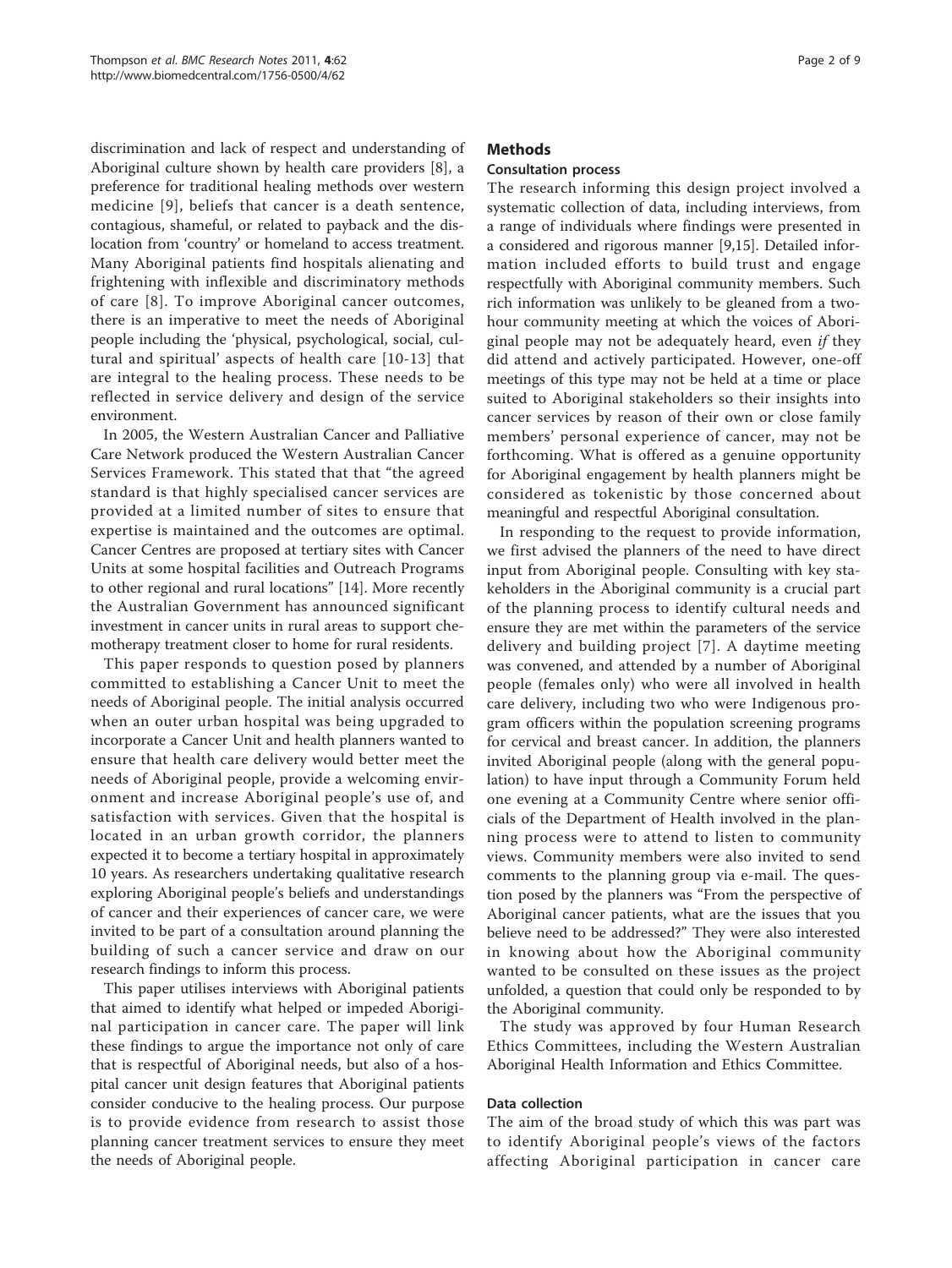discrimination and lack of respect and understanding of Aboriginal culture shown by health care providers [[8](#page-8-0)], a preference for traditional healing methods over western medicine [[9\]](#page-8-0), beliefs that cancer is a death sentence, contagious, shameful, or related to payback and the dislocation from 'country' or homeland to access treatment. Many Aboriginal patients find hospitals alienating and frightening with inflexible and discriminatory methods of care [[8](#page-8-0)]. To improve Aboriginal cancer outcomes, there is an imperative to meet the needs of Aboriginal people including the 'physical, psychological, social, cultural and spiritual' aspects of health care [\[10-13\]](#page-8-0) that are integral to the healing process. These needs to be reflected in service delivery and design of the service environment.

In 2005, the Western Australian Cancer and Palliative Care Network produced the Western Australian Cancer Services Framework. This stated that that "the agreed standard is that highly specialised cancer services are provided at a limited number of sites to ensure that expertise is maintained and the outcomes are optimal. Cancer Centres are proposed at tertiary sites with Cancer Units at some hospital facilities and Outreach Programs to other regional and rural locations" [[14\]](#page-8-0). More recently the Australian Government has announced significant investment in cancer units in rural areas to support chemotherapy treatment closer to home for rural residents.

This paper responds to question posed by planners committed to establishing a Cancer Unit to meet the needs of Aboriginal people. The initial analysis occurred when an outer urban hospital was being upgraded to incorporate a Cancer Unit and health planners wanted to ensure that health care delivery would better meet the needs of Aboriginal people, provide a welcoming environment and increase Aboriginal people's use of, and satisfaction with services. Given that the hospital is located in an urban growth corridor, the planners expected it to become a tertiary hospital in approximately 10 years. As researchers undertaking qualitative research exploring Aboriginal people's beliefs and understandings of cancer and their experiences of cancer care, we were invited to be part of a consultation around planning the building of such a cancer service and draw on our research findings to inform this process.

This paper utilises interviews with Aboriginal patients that aimed to identify what helped or impeded Aboriginal participation in cancer care. The paper will link these findings to argue the importance not only of care that is respectful of Aboriginal needs, but also of a hospital cancer unit design features that Aboriginal patients consider conducive to the healing process. Our purpose is to provide evidence from research to assist those planning cancer treatment services to ensure they meet the needs of Aboriginal people.

#### Methods

#### Consultation process

The research informing this design project involved a systematic collection of data, including interviews, from a range of individuals where findings were presented in a considered and rigorous manner [[9,15\]](#page-8-0). Detailed information included efforts to build trust and engage respectfully with Aboriginal community members. Such rich information was unlikely to be gleaned from a twohour community meeting at which the voices of Aboriginal people may not be adequately heard, even if they did attend and actively participated. However, one-off meetings of this type may not be held at a time or place suited to Aboriginal stakeholders so their insights into cancer services by reason of their own or close family members' personal experience of cancer, may not be forthcoming. What is offered as a genuine opportunity for Aboriginal engagement by health planners might be considered as tokenistic by those concerned about meaningful and respectful Aboriginal consultation.

In responding to the request to provide information, we first advised the planners of the need to have direct input from Aboriginal people. Consulting with key stakeholders in the Aboriginal community is a crucial part of the planning process to identify cultural needs and ensure they are met within the parameters of the service delivery and building project [[7](#page-8-0)]. A daytime meeting was convened, and attended by a number of Aboriginal people (females only) who were all involved in health care delivery, including two who were Indigenous program officers within the population screening programs for cervical and breast cancer. In addition, the planners invited Aboriginal people (along with the general population) to have input through a Community Forum held one evening at a Community Centre where senior officials of the Department of Health involved in the planning process were to attend to listen to community views. Community members were also invited to send comments to the planning group via e-mail. The question posed by the planners was "From the perspective of Aboriginal cancer patients, what are the issues that you believe need to be addressed?" They were also interested in knowing about how the Aboriginal community wanted to be consulted on these issues as the project unfolded, a question that could only be responded to by the Aboriginal community.

The study was approved by four Human Research Ethics Committees, including the Western Australian Aboriginal Health Information and Ethics Committee.

#### Data collection

The aim of the broad study of which this was part was to identify Aboriginal people's views of the factors affecting Aboriginal participation in cancer care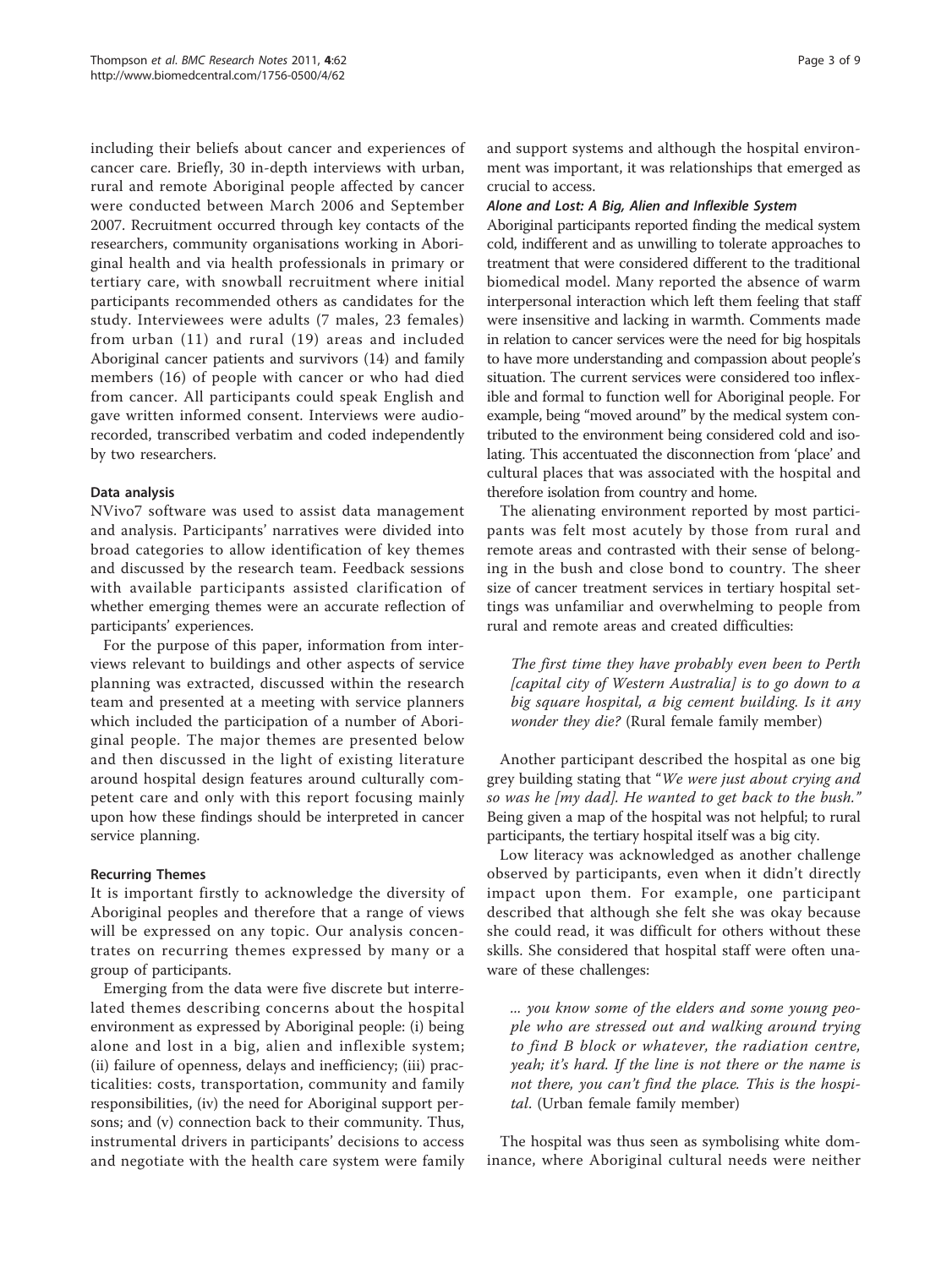including their beliefs about cancer and experiences of cancer care. Briefly, 30 in-depth interviews with urban, rural and remote Aboriginal people affected by cancer were conducted between March 2006 and September 2007. Recruitment occurred through key contacts of the researchers, community organisations working in Aboriginal health and via health professionals in primary or tertiary care, with snowball recruitment where initial participants recommended others as candidates for the study. Interviewees were adults (7 males, 23 females) from urban (11) and rural (19) areas and included Aboriginal cancer patients and survivors (14) and family members (16) of people with cancer or who had died from cancer. All participants could speak English and gave written informed consent. Interviews were audiorecorded, transcribed verbatim and coded independently by two researchers.

## Data analysis

NVivo7 software was used to assist data management and analysis. Participants' narratives were divided into broad categories to allow identification of key themes and discussed by the research team. Feedback sessions with available participants assisted clarification of whether emerging themes were an accurate reflection of participants' experiences.

For the purpose of this paper, information from interviews relevant to buildings and other aspects of service planning was extracted, discussed within the research team and presented at a meeting with service planners which included the participation of a number of Aboriginal people. The major themes are presented below and then discussed in the light of existing literature around hospital design features around culturally competent care and only with this report focusing mainly upon how these findings should be interpreted in cancer service planning.

## Recurring Themes

It is important firstly to acknowledge the diversity of Aboriginal peoples and therefore that a range of views will be expressed on any topic. Our analysis concentrates on recurring themes expressed by many or a group of participants.

Emerging from the data were five discrete but interrelated themes describing concerns about the hospital environment as expressed by Aboriginal people: (i) being alone and lost in a big, alien and inflexible system; (ii) failure of openness, delays and inefficiency; (iii) practicalities: costs, transportation, community and family responsibilities, (iv) the need for Aboriginal support persons; and (v) connection back to their community. Thus, instrumental drivers in participants' decisions to access and negotiate with the health care system were family and support systems and although the hospital environment was important, it was relationships that emerged as crucial to access.

#### Alone and Lost: A Big, Alien and Inflexible System

Aboriginal participants reported finding the medical system cold, indifferent and as unwilling to tolerate approaches to treatment that were considered different to the traditional biomedical model. Many reported the absence of warm interpersonal interaction which left them feeling that staff were insensitive and lacking in warmth. Comments made in relation to cancer services were the need for big hospitals to have more understanding and compassion about people's situation. The current services were considered too inflexible and formal to function well for Aboriginal people. For example, being "moved around" by the medical system contributed to the environment being considered cold and isolating. This accentuated the disconnection from 'place' and cultural places that was associated with the hospital and therefore isolation from country and home.

The alienating environment reported by most participants was felt most acutely by those from rural and remote areas and contrasted with their sense of belonging in the bush and close bond to country. The sheer size of cancer treatment services in tertiary hospital settings was unfamiliar and overwhelming to people from rural and remote areas and created difficulties:

The first time they have probably even been to Perth [capital city of Western Australia] is to go down to a big square hospital, a big cement building. Is it any wonder they die? (Rural female family member)

Another participant described the hospital as one big grey building stating that "We were just about crying and so was he [my dad]. He wanted to get back to the bush." Being given a map of the hospital was not helpful; to rural participants, the tertiary hospital itself was a big city.

Low literacy was acknowledged as another challenge observed by participants, even when it didn't directly impact upon them. For example, one participant described that although she felt she was okay because she could read, it was difficult for others without these skills. She considered that hospital staff were often unaware of these challenges:

... you know some of the elders and some young people who are stressed out and walking around trying to find B block or whatever, the radiation centre, yeah; it's hard. If the line is not there or the name is not there, you can't find the place. This is the hospital. (Urban female family member)

The hospital was thus seen as symbolising white dominance, where Aboriginal cultural needs were neither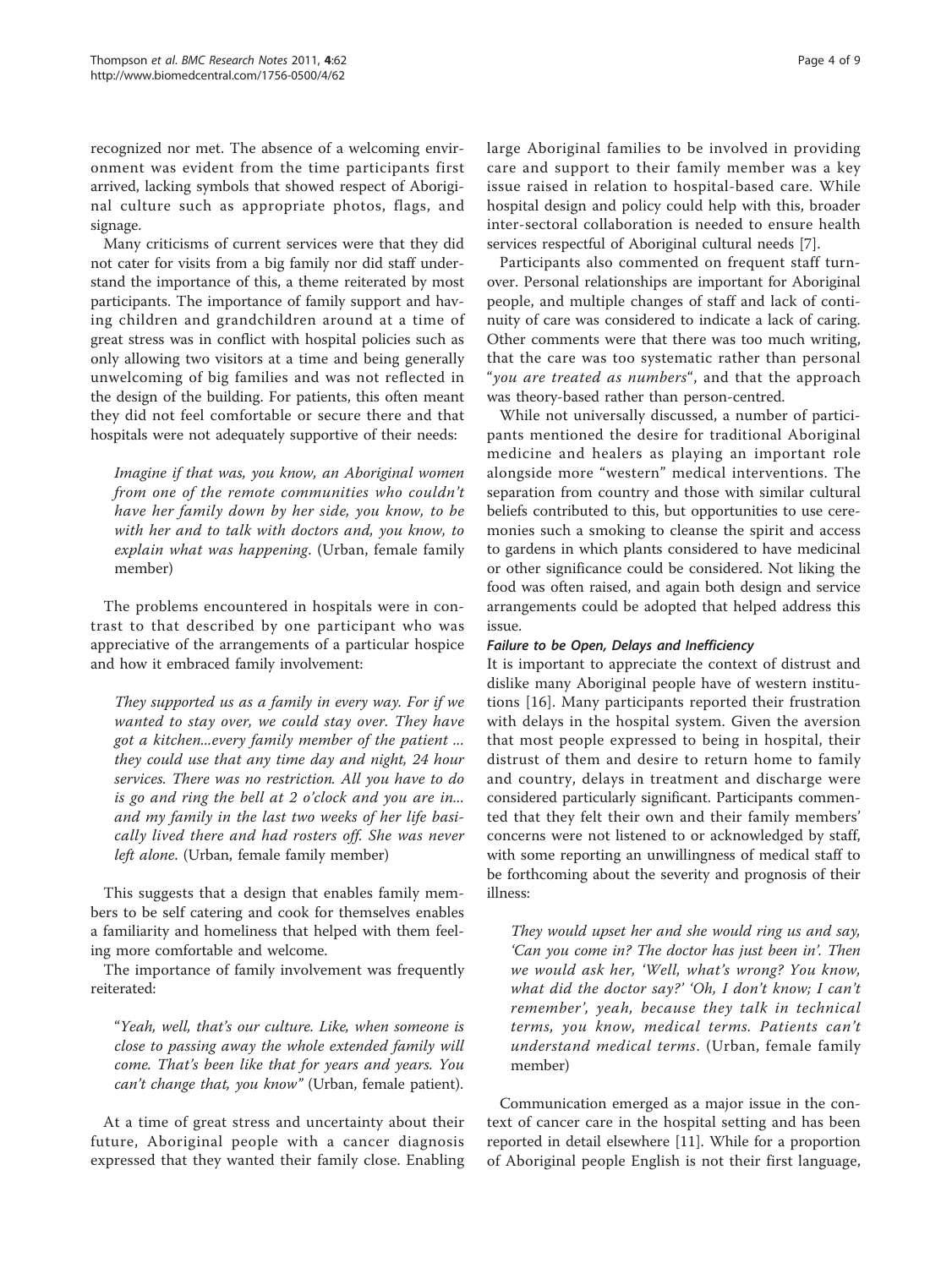recognized nor met. The absence of a welcoming environment was evident from the time participants first arrived, lacking symbols that showed respect of Aboriginal culture such as appropriate photos, flags, and signage.

Many criticisms of current services were that they did not cater for visits from a big family nor did staff understand the importance of this, a theme reiterated by most participants. The importance of family support and having children and grandchildren around at a time of great stress was in conflict with hospital policies such as only allowing two visitors at a time and being generally unwelcoming of big families and was not reflected in the design of the building. For patients, this often meant they did not feel comfortable or secure there and that hospitals were not adequately supportive of their needs:

Imagine if that was, you know, an Aboriginal women from one of the remote communities who couldn't have her family down by her side, you know, to be with her and to talk with doctors and, you know, to explain what was happening. (Urban, female family member)

The problems encountered in hospitals were in contrast to that described by one participant who was appreciative of the arrangements of a particular hospice and how it embraced family involvement:

They supported us as a family in every way. For if we wanted to stay over, we could stay over. They have got a kitchen...every family member of the patient ... they could use that any time day and night, 24 hour services. There was no restriction. All you have to do is go and ring the bell at 2 o'clock and you are in... and my family in the last two weeks of her life basically lived there and had rosters off. She was never left alone. (Urban, female family member)

This suggests that a design that enables family members to be self catering and cook for themselves enables a familiarity and homeliness that helped with them feeling more comfortable and welcome.

The importance of family involvement was frequently reiterated:

"Yeah, well, that's our culture. Like, when someone is close to passing away the whole extended family will come. That's been like that for years and years. You can't change that, you know" (Urban, female patient).

At a time of great stress and uncertainty about their future, Aboriginal people with a cancer diagnosis expressed that they wanted their family close. Enabling large Aboriginal families to be involved in providing care and support to their family member was a key issue raised in relation to hospital-based care. While hospital design and policy could help with this, broader inter-sectoral collaboration is needed to ensure health services respectful of Aboriginal cultural needs [\[7](#page-8-0)].

Participants also commented on frequent staff turnover. Personal relationships are important for Aboriginal people, and multiple changes of staff and lack of continuity of care was considered to indicate a lack of caring. Other comments were that there was too much writing, that the care was too systematic rather than personal "you are treated as numbers", and that the approach was theory-based rather than person-centred.

While not universally discussed, a number of participants mentioned the desire for traditional Aboriginal medicine and healers as playing an important role alongside more "western" medical interventions. The separation from country and those with similar cultural beliefs contributed to this, but opportunities to use ceremonies such a smoking to cleanse the spirit and access to gardens in which plants considered to have medicinal or other significance could be considered. Not liking the food was often raised, and again both design and service arrangements could be adopted that helped address this issue.

#### Failure to be Open, Delays and Inefficiency

It is important to appreciate the context of distrust and dislike many Aboriginal people have of western institutions [\[16](#page-8-0)]. Many participants reported their frustration with delays in the hospital system. Given the aversion that most people expressed to being in hospital, their distrust of them and desire to return home to family and country, delays in treatment and discharge were considered particularly significant. Participants commented that they felt their own and their family members' concerns were not listened to or acknowledged by staff, with some reporting an unwillingness of medical staff to be forthcoming about the severity and prognosis of their illness:

They would upset her and she would ring us and say, 'Can you come in? The doctor has just been in'. Then we would ask her, 'Well, what's wrong? You know, what did the doctor say?' 'Oh, I don't know; I can't remember', yeah, because they talk in technical terms, you know, medical terms. Patients can't understand medical terms. (Urban, female family member)

Communication emerged as a major issue in the context of cancer care in the hospital setting and has been reported in detail elsewhere [[11](#page-8-0)]. While for a proportion of Aboriginal people English is not their first language,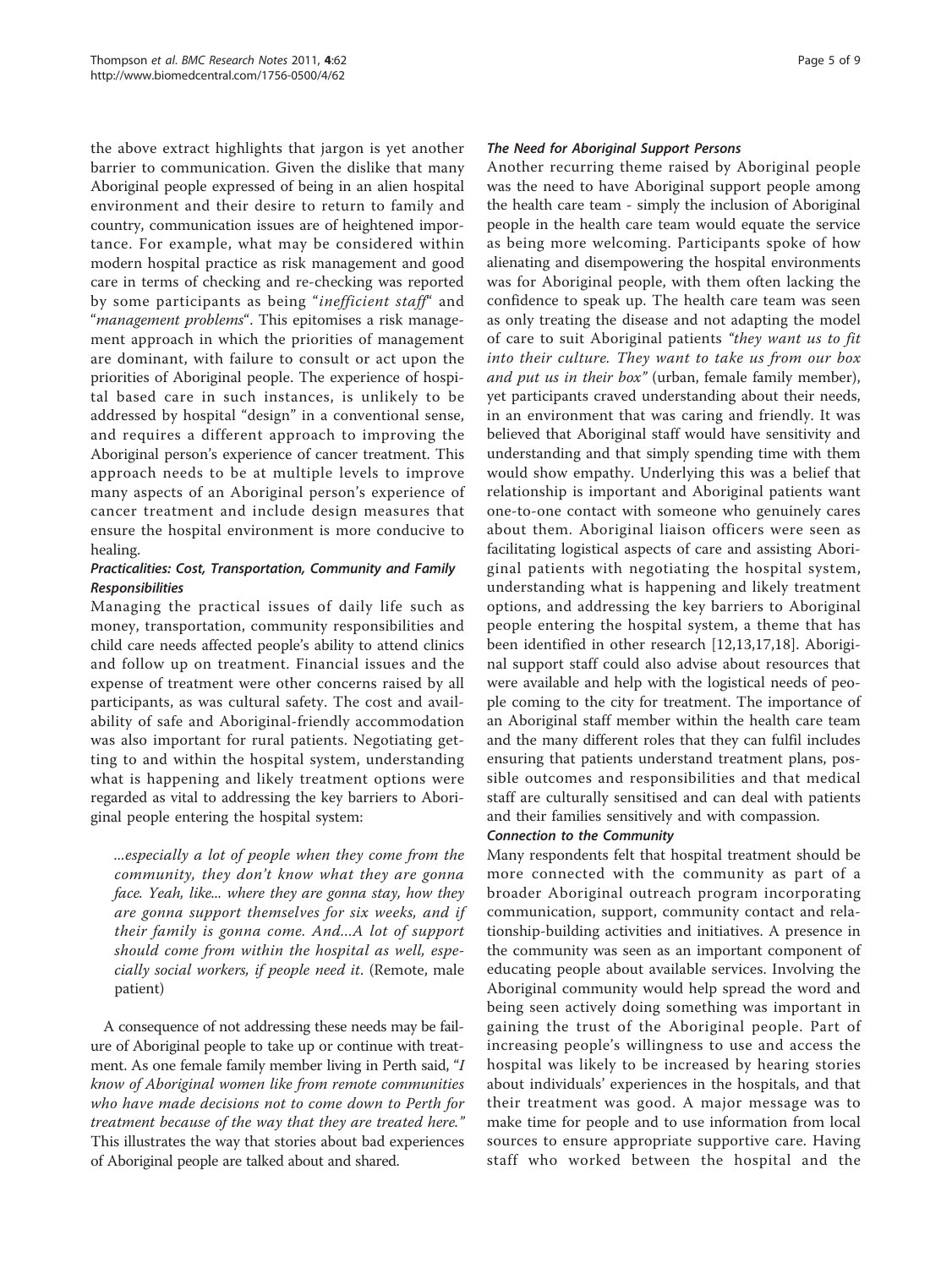the above extract highlights that jargon is yet another barrier to communication. Given the dislike that many Aboriginal people expressed of being in an alien hospital environment and their desire to return to family and country, communication issues are of heightened importance. For example, what may be considered within modern hospital practice as risk management and good care in terms of checking and re-checking was reported by some participants as being "inefficient staff" and "management problems". This epitomises a risk management approach in which the priorities of management are dominant, with failure to consult or act upon the priorities of Aboriginal people. The experience of hospital based care in such instances, is unlikely to be addressed by hospital "design" in a conventional sense, and requires a different approach to improving the Aboriginal person's experience of cancer treatment. This approach needs to be at multiple levels to improve many aspects of an Aboriginal person's experience of cancer treatment and include design measures that ensure the hospital environment is more conducive to healing.

## Practicalities: Cost, Transportation, Community and Family Responsibilities

Managing the practical issues of daily life such as money, transportation, community responsibilities and child care needs affected people's ability to attend clinics and follow up on treatment. Financial issues and the expense of treatment were other concerns raised by all participants, as was cultural safety. The cost and availability of safe and Aboriginal-friendly accommodation was also important for rural patients. Negotiating getting to and within the hospital system, understanding what is happening and likely treatment options were regarded as vital to addressing the key barriers to Aboriginal people entering the hospital system:

...especially a lot of people when they come from the community, they don't know what they are gonna face. Yeah, like... where they are gonna stay, how they are gonna support themselves for six weeks, and if their family is gonna come. And...A lot of support should come from within the hospital as well, especially social workers, if people need it. (Remote, male patient)

A consequence of not addressing these needs may be failure of Aboriginal people to take up or continue with treatment. As one female family member living in Perth said, "I know of Aboriginal women like from remote communities who have made decisions not to come down to Perth for treatment because of the way that they are treated here." This illustrates the way that stories about bad experiences of Aboriginal people are talked about and shared.

## The Need for Aboriginal Support Persons

Another recurring theme raised by Aboriginal people was the need to have Aboriginal support people among the health care team - simply the inclusion of Aboriginal people in the health care team would equate the service as being more welcoming. Participants spoke of how alienating and disempowering the hospital environments was for Aboriginal people, with them often lacking the confidence to speak up. The health care team was seen as only treating the disease and not adapting the model of care to suit Aboriginal patients "they want us to fit into their culture. They want to take us from our box and put us in their box" (urban, female family member), yet participants craved understanding about their needs, in an environment that was caring and friendly. It was believed that Aboriginal staff would have sensitivity and understanding and that simply spending time with them would show empathy. Underlying this was a belief that relationship is important and Aboriginal patients want one-to-one contact with someone who genuinely cares about them. Aboriginal liaison officers were seen as facilitating logistical aspects of care and assisting Aboriginal patients with negotiating the hospital system, understanding what is happening and likely treatment options, and addressing the key barriers to Aboriginal people entering the hospital system, a theme that has been identified in other research [\[12](#page-8-0),[13,17,18\]](#page-8-0). Aboriginal support staff could also advise about resources that were available and help with the logistical needs of people coming to the city for treatment. The importance of an Aboriginal staff member within the health care team and the many different roles that they can fulfil includes ensuring that patients understand treatment plans, possible outcomes and responsibilities and that medical staff are culturally sensitised and can deal with patients and their families sensitively and with compassion.

## Connection to the Community

Many respondents felt that hospital treatment should be more connected with the community as part of a broader Aboriginal outreach program incorporating communication, support, community contact and relationship-building activities and initiatives. A presence in the community was seen as an important component of educating people about available services. Involving the Aboriginal community would help spread the word and being seen actively doing something was important in gaining the trust of the Aboriginal people. Part of increasing people's willingness to use and access the hospital was likely to be increased by hearing stories about individuals' experiences in the hospitals, and that their treatment was good. A major message was to make time for people and to use information from local sources to ensure appropriate supportive care. Having staff who worked between the hospital and the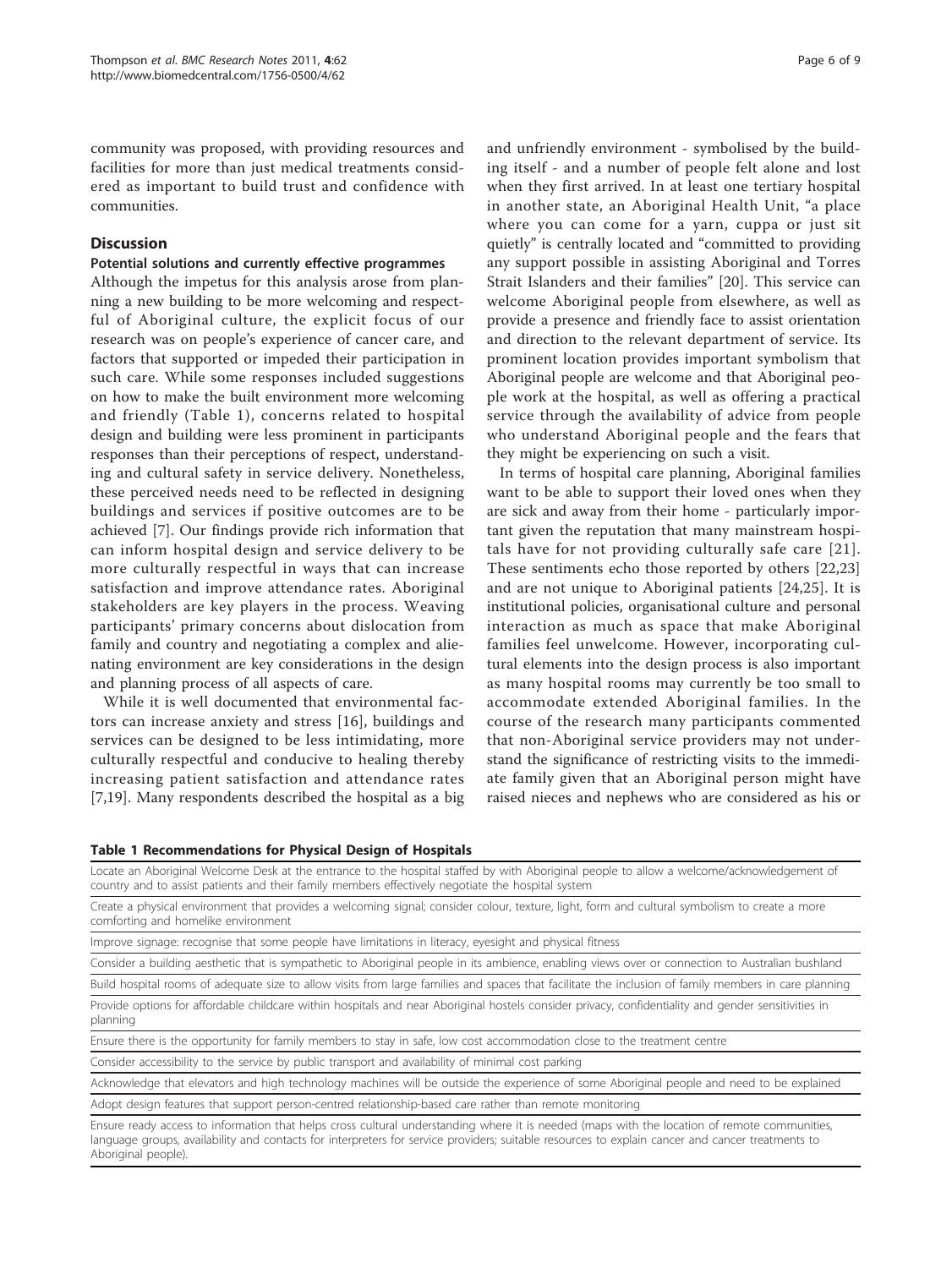community was proposed, with providing resources and facilities for more than just medical treatments considered as important to build trust and confidence with communities.

## **Discussion**

## Potential solutions and currently effective programmes

Although the impetus for this analysis arose from planning a new building to be more welcoming and respectful of Aboriginal culture, the explicit focus of our research was on people's experience of cancer care, and factors that supported or impeded their participation in such care. While some responses included suggestions on how to make the built environment more welcoming and friendly (Table 1), concerns related to hospital design and building were less prominent in participants responses than their perceptions of respect, understanding and cultural safety in service delivery. Nonetheless, these perceived needs need to be reflected in designing buildings and services if positive outcomes are to be achieved [[7\]](#page-8-0). Our findings provide rich information that can inform hospital design and service delivery to be more culturally respectful in ways that can increase satisfaction and improve attendance rates. Aboriginal stakeholders are key players in the process. Weaving participants' primary concerns about dislocation from family and country and negotiating a complex and alienating environment are key considerations in the design and planning process of all aspects of care.

While it is well documented that environmental factors can increase anxiety and stress [\[16](#page-8-0)], buildings and services can be designed to be less intimidating, more culturally respectful and conducive to healing thereby increasing patient satisfaction and attendance rates [[7,19\]](#page-8-0). Many respondents described the hospital as a big and unfriendly environment - symbolised by the building itself - and a number of people felt alone and lost when they first arrived. In at least one tertiary hospital in another state, an Aboriginal Health Unit, "a place where you can come for a yarn, cuppa or just sit quietly" is centrally located and "committed to providing any support possible in assisting Aboriginal and Torres Strait Islanders and their families" [[20\]](#page-8-0). This service can welcome Aboriginal people from elsewhere, as well as provide a presence and friendly face to assist orientation and direction to the relevant department of service. Its prominent location provides important symbolism that Aboriginal people are welcome and that Aboriginal people work at the hospital, as well as offering a practical service through the availability of advice from people who understand Aboriginal people and the fears that they might be experiencing on such a visit.

In terms of hospital care planning, Aboriginal families want to be able to support their loved ones when they are sick and away from their home - particularly important given the reputation that many mainstream hospitals have for not providing culturally safe care [[21\]](#page-8-0). These sentiments echo those reported by others [\[22,23](#page-8-0)] and are not unique to Aboriginal patients [\[24](#page-8-0),[25\]](#page-8-0). It is institutional policies, organisational culture and personal interaction as much as space that make Aboriginal families feel unwelcome. However, incorporating cultural elements into the design process is also important as many hospital rooms may currently be too small to accommodate extended Aboriginal families. In the course of the research many participants commented that non-Aboriginal service providers may not understand the significance of restricting visits to the immediate family given that an Aboriginal person might have raised nieces and nephews who are considered as his or

#### Table 1 Recommendations for Physical Design of Hospitals

Locate an Aboriginal Welcome Desk at the entrance to the hospital staffed by with Aboriginal people to allow a welcome/acknowledgement of country and to assist patients and their family members effectively negotiate the hospital system

Create a physical environment that provides a welcoming signal; consider colour, texture, light, form and cultural symbolism to create a more comforting and homelike environment

Improve signage: recognise that some people have limitations in literacy, eyesight and physical fitness

Consider a building aesthetic that is sympathetic to Aboriginal people in its ambience, enabling views over or connection to Australian bushland

Build hospital rooms of adequate size to allow visits from large families and spaces that facilitate the inclusion of family members in care planning

Provide options for affordable childcare within hospitals and near Aboriginal hostels consider privacy, confidentiality and gender sensitivities in planning

Ensure there is the opportunity for family members to stay in safe, low cost accommodation close to the treatment centre

Consider accessibility to the service by public transport and availability of minimal cost parking

Acknowledge that elevators and high technology machines will be outside the experience of some Aboriginal people and need to be explained Adopt design features that support person-centred relationship-based care rather than remote monitoring

Ensure ready access to information that helps cross cultural understanding where it is needed (maps with the location of remote communities, language groups, availability and contacts for interpreters for service providers; suitable resources to explain cancer and cancer treatments to Aboriginal people).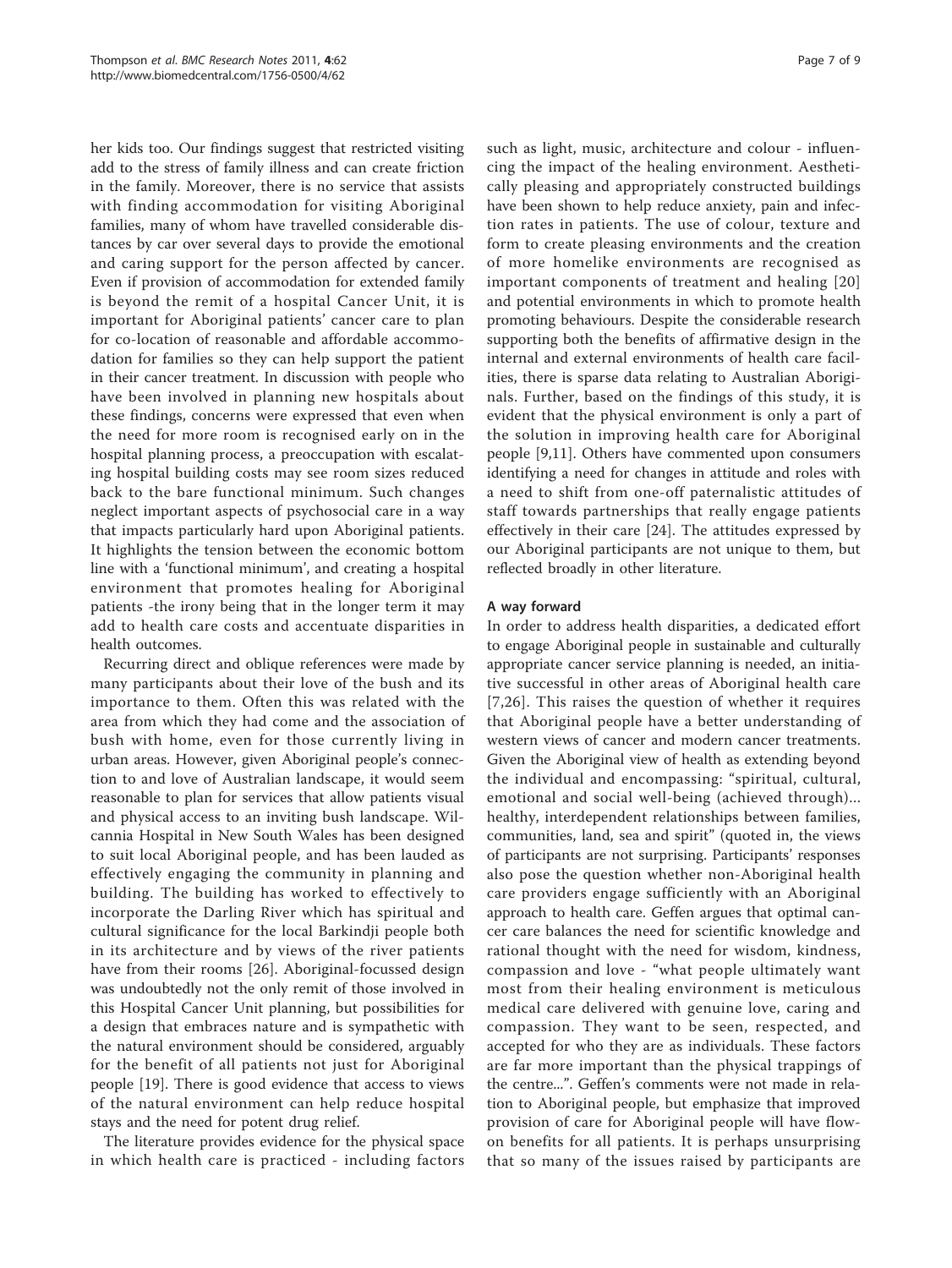her kids too. Our findings suggest that restricted visiting add to the stress of family illness and can create friction in the family. Moreover, there is no service that assists with finding accommodation for visiting Aboriginal families, many of whom have travelled considerable distances by car over several days to provide the emotional and caring support for the person affected by cancer. Even if provision of accommodation for extended family is beyond the remit of a hospital Cancer Unit, it is important for Aboriginal patients' cancer care to plan for co-location of reasonable and affordable accommodation for families so they can help support the patient in their cancer treatment. In discussion with people who have been involved in planning new hospitals about these findings, concerns were expressed that even when the need for more room is recognised early on in the hospital planning process, a preoccupation with escalating hospital building costs may see room sizes reduced back to the bare functional minimum. Such changes neglect important aspects of psychosocial care in a way that impacts particularly hard upon Aboriginal patients. It highlights the tension between the economic bottom line with a 'functional minimum', and creating a hospital environment that promotes healing for Aboriginal patients -the irony being that in the longer term it may add to health care costs and accentuate disparities in health outcomes.

Recurring direct and oblique references were made by many participants about their love of the bush and its importance to them. Often this was related with the area from which they had come and the association of bush with home, even for those currently living in urban areas. However, given Aboriginal people's connection to and love of Australian landscape, it would seem reasonable to plan for services that allow patients visual and physical access to an inviting bush landscape. Wilcannia Hospital in New South Wales has been designed to suit local Aboriginal people, and has been lauded as effectively engaging the community in planning and building. The building has worked to effectively to incorporate the Darling River which has spiritual and cultural significance for the local Barkindji people both in its architecture and by views of the river patients have from their rooms [[26\]](#page-8-0). Aboriginal-focussed design was undoubtedly not the only remit of those involved in this Hospital Cancer Unit planning, but possibilities for a design that embraces nature and is sympathetic with the natural environment should be considered, arguably for the benefit of all patients not just for Aboriginal people [\[19](#page-8-0)]. There is good evidence that access to views of the natural environment can help reduce hospital stays and the need for potent drug relief.

The literature provides evidence for the physical space in which health care is practiced - including factors such as light, music, architecture and colour - influencing the impact of the healing environment. Aesthetically pleasing and appropriately constructed buildings have been shown to help reduce anxiety, pain and infection rates in patients. The use of colour, texture and form to create pleasing environments and the creation of more homelike environments are recognised as important components of treatment and healing [[20](#page-8-0)] and potential environments in which to promote health promoting behaviours. Despite the considerable research supporting both the benefits of affirmative design in the internal and external environments of health care facilities, there is sparse data relating to Australian Aboriginals. Further, based on the findings of this study, it is evident that the physical environment is only a part of the solution in improving health care for Aboriginal people [\[9,11](#page-8-0)]. Others have commented upon consumers identifying a need for changes in attitude and roles with a need to shift from one-off paternalistic attitudes of staff towards partnerships that really engage patients effectively in their care [[24](#page-8-0)]. The attitudes expressed by our Aboriginal participants are not unique to them, but reflected broadly in other literature.

## A way forward

In order to address health disparities, a dedicated effort to engage Aboriginal people in sustainable and culturally appropriate cancer service planning is needed, an initiative successful in other areas of Aboriginal health care [[7](#page-8-0),[26](#page-8-0)]. This raises the question of whether it requires that Aboriginal people have a better understanding of western views of cancer and modern cancer treatments. Given the Aboriginal view of health as extending beyond the individual and encompassing: "spiritual, cultural, emotional and social well-being (achieved through)... healthy, interdependent relationships between families, communities, land, sea and spirit" (quoted in, the views of participants are not surprising. Participants' responses also pose the question whether non-Aboriginal health care providers engage sufficiently with an Aboriginal approach to health care. Geffen argues that optimal cancer care balances the need for scientific knowledge and rational thought with the need for wisdom, kindness, compassion and love - "what people ultimately want most from their healing environment is meticulous medical care delivered with genuine love, caring and compassion. They want to be seen, respected, and accepted for who they are as individuals. These factors are far more important than the physical trappings of the centre...". Geffen's comments were not made in relation to Aboriginal people, but emphasize that improved provision of care for Aboriginal people will have flowon benefits for all patients. It is perhaps unsurprising that so many of the issues raised by participants are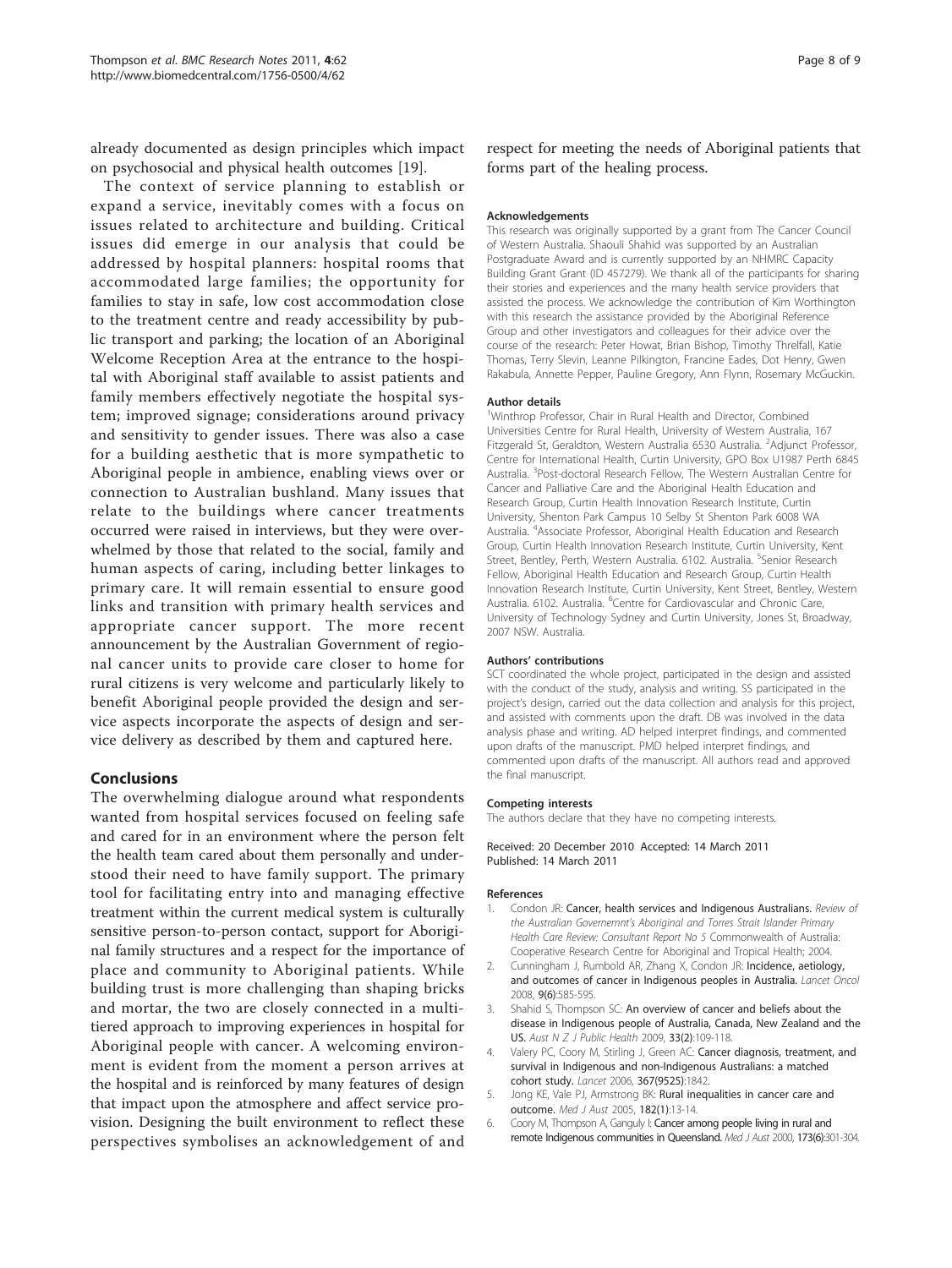<span id="page-7-0"></span>already documented as design principles which impact on psychosocial and physical health outcomes [\[19\]](#page-8-0).

The context of service planning to establish or expand a service, inevitably comes with a focus on issues related to architecture and building. Critical issues did emerge in our analysis that could be addressed by hospital planners: hospital rooms that accommodated large families; the opportunity for families to stay in safe, low cost accommodation close to the treatment centre and ready accessibility by public transport and parking; the location of an Aboriginal Welcome Reception Area at the entrance to the hospital with Aboriginal staff available to assist patients and family members effectively negotiate the hospital system; improved signage; considerations around privacy and sensitivity to gender issues. There was also a case for a building aesthetic that is more sympathetic to Aboriginal people in ambience, enabling views over or connection to Australian bushland. Many issues that relate to the buildings where cancer treatments occurred were raised in interviews, but they were overwhelmed by those that related to the social, family and human aspects of caring, including better linkages to primary care. It will remain essential to ensure good links and transition with primary health services and appropriate cancer support. The more recent announcement by the Australian Government of regional cancer units to provide care closer to home for rural citizens is very welcome and particularly likely to benefit Aboriginal people provided the design and service aspects incorporate the aspects of design and service delivery as described by them and captured here.

## Conclusions

The overwhelming dialogue around what respondents wanted from hospital services focused on feeling safe and cared for in an environment where the person felt the health team cared about them personally and understood their need to have family support. The primary tool for facilitating entry into and managing effective treatment within the current medical system is culturally sensitive person-to-person contact, support for Aboriginal family structures and a respect for the importance of place and community to Aboriginal patients. While building trust is more challenging than shaping bricks and mortar, the two are closely connected in a multitiered approach to improving experiences in hospital for Aboriginal people with cancer. A welcoming environment is evident from the moment a person arrives at the hospital and is reinforced by many features of design that impact upon the atmosphere and affect service provision. Designing the built environment to reflect these perspectives symbolises an acknowledgement of and

respect for meeting the needs of Aboriginal patients that forms part of the healing process.

#### Acknowledgements

This research was originally supported by a grant from The Cancer Council of Western Australia. Shaouli Shahid was supported by an Australian Postgraduate Award and is currently supported by an NHMRC Capacity Building Grant Grant (ID 457279). We thank all of the participants for sharing their stories and experiences and the many health service providers that assisted the process. We acknowledge the contribution of Kim Worthington with this research the assistance provided by the Aboriginal Reference Group and other investigators and colleagues for their advice over the course of the research: Peter Howat, Brian Bishop, Timothy Threlfall, Katie Thomas, Terry Slevin, Leanne Pilkington, Francine Eades, Dot Henry, Gwen Rakabula, Annette Pepper, Pauline Gregory, Ann Flynn, Rosemary McGuckin.

#### Author details

<sup>1</sup>Winthrop Professor, Chair in Rural Health and Director, Combined Universities Centre for Rural Health, University of Western Australia, 167 Fitzgerald St, Geraldton, Western Australia 6530 Australia. <sup>2</sup>Adjunct Professor, Centre for International Health, Curtin University, GPO Box U1987 Perth 6845 Australia. <sup>3</sup> Post-doctoral Research Fellow, The Western Australian Centre for Cancer and Palliative Care and the Aboriginal Health Education and Research Group, Curtin Health Innovation Research Institute, Curtin University, Shenton Park Campus 10 Selby St Shenton Park 6008 WA Australia. <sup>4</sup> Associate Professor, Aboriginal Health Education and Research Group, Curtin Health Innovation Research Institute, Curtin University, Kent Street, Bentley, Perth, Western Australia. 6102. Australia. <sup>5</sup>Senior Research Fellow, Aboriginal Health Education and Research Group, Curtin Health Innovation Research Institute, Curtin University, Kent Street, Bentley, Western Australia. 6102. Australia. <sup>6</sup>Centre for Cardiovascular and Chronic Care, University of Technology Sydney and Curtin University, Jones St, Broadway, 2007 NSW. Australia.

#### Authors' contributions

SCT coordinated the whole project, participated in the design and assisted with the conduct of the study, analysis and writing. SS participated in the project's design, carried out the data collection and analysis for this project, and assisted with comments upon the draft. DB was involved in the data analysis phase and writing. AD helped interpret findings, and commented upon drafts of the manuscript. PMD helped interpret findings, and commented upon drafts of the manuscript. All authors read and approved the final manuscript.

#### Competing interests

The authors declare that they have no competing interests.

#### Received: 20 December 2010 Accepted: 14 March 2011 Published: 14 March 2011

#### References

- 1. Condon JR: Cancer, health services and Indigenous Australians. Review of the Australian Governemnt's Aboriginal and Torres Strait Islander Primary Health Care Review: Consultant Report No 5 Commonwealth of Australia: Cooperative Research Centre for Aboriginal and Tropical Health; 2004.
- 2. Cunningham J, Rumbold AR, Zhang X, Condon JR: [Incidence, aetiology,](http://www.ncbi.nlm.nih.gov/pubmed/18510990?dopt=Abstract) [and outcomes of cancer in Indigenous peoples in Australia.](http://www.ncbi.nlm.nih.gov/pubmed/18510990?dopt=Abstract) Lancet Oncol 2008, 9(6):585-595.
- 3. Shahid S, Thompson SC: [An overview of cancer and beliefs about the](http://www.ncbi.nlm.nih.gov/pubmed/19413852?dopt=Abstract) [disease in Indigenous people of Australia, Canada, New Zealand and the](http://www.ncbi.nlm.nih.gov/pubmed/19413852?dopt=Abstract) [US.](http://www.ncbi.nlm.nih.gov/pubmed/19413852?dopt=Abstract) Aust N Z J Public Health 2009, 33(2):109-118.
- 4. Valery PC, Coory M, Stirling J, Green AC: [Cancer diagnosis, treatment, and](http://www.ncbi.nlm.nih.gov/pubmed/16753487?dopt=Abstract) [survival in Indigenous and non-Indigenous Australians: a matched](http://www.ncbi.nlm.nih.gov/pubmed/16753487?dopt=Abstract) [cohort study.](http://www.ncbi.nlm.nih.gov/pubmed/16753487?dopt=Abstract) Lancet 2006, 367(9525):1842.
- 5. Jong KE, Vale PJ, Armstrong BK: [Rural inequalities in cancer care and](http://www.ncbi.nlm.nih.gov/pubmed/15651940?dopt=Abstract) [outcome.](http://www.ncbi.nlm.nih.gov/pubmed/15651940?dopt=Abstract) Med J Aust 2005, 182(1):13-14.
- 6. Coory M, Thompson A, Ganguly I: [Cancer among people living in rural and](http://www.ncbi.nlm.nih.gov/pubmed/11061399?dopt=Abstract) [remote Indigenous communities in Queensland.](http://www.ncbi.nlm.nih.gov/pubmed/11061399?dopt=Abstract) Med J Aust 2000, 173(6):301-304.